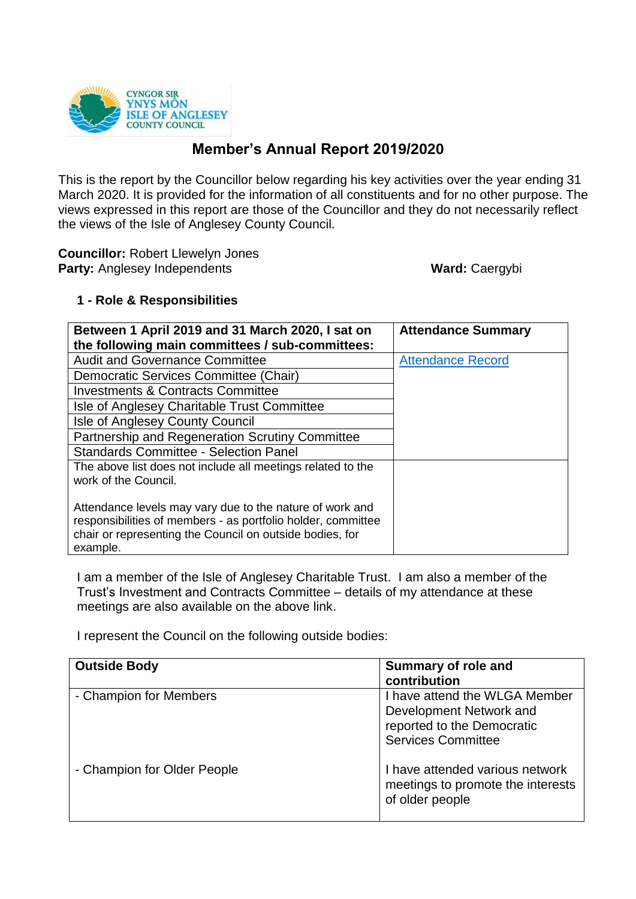

# **Member's Annual Report 2019/2020**

This is the report by the Councillor below regarding his key activities over the year ending 31 March 2020. It is provided for the information of all constituents and for no other purpose. The views expressed in this report are those of the Councillor and they do not necessarily reflect the views of the Isle of Anglesey County Council.

**Councillor:** Robert Llewelyn Jones **Party:** Anglesey Independents **Ward: Caergybi** 

## **1 - Role & Responsibilities**

| Between 1 April 2019 and 31 March 2020, I sat on<br>the following main committees / sub-committees:                                                                                              | <b>Attendance Summary</b> |
|--------------------------------------------------------------------------------------------------------------------------------------------------------------------------------------------------|---------------------------|
| <b>Audit and Governance Committee</b>                                                                                                                                                            | <b>Attendance Record</b>  |
| Democratic Services Committee (Chair)                                                                                                                                                            |                           |
| <b>Investments &amp; Contracts Committee</b>                                                                                                                                                     |                           |
| Isle of Anglesey Charitable Trust Committee                                                                                                                                                      |                           |
| Isle of Anglesey County Council                                                                                                                                                                  |                           |
| <b>Partnership and Regeneration Scrutiny Committee</b>                                                                                                                                           |                           |
| Standards Committee - Selection Panel                                                                                                                                                            |                           |
| The above list does not include all meetings related to the<br>work of the Council.                                                                                                              |                           |
| Attendance levels may vary due to the nature of work and<br>responsibilities of members - as portfolio holder, committee<br>chair or representing the Council on outside bodies, for<br>example. |                           |

I am a member of the Isle of Anglesey Charitable Trust. I am also a member of the Trust's Investment and Contracts Committee – details of my attendance at these meetings are also available on the above link.

I represent the Council on the following outside bodies:

| <b>Outside Body</b>         | <b>Summary of role and</b><br>contribution                                                                          |
|-----------------------------|---------------------------------------------------------------------------------------------------------------------|
| - Champion for Members      | I have attend the WLGA Member<br>Development Network and<br>reported to the Democratic<br><b>Services Committee</b> |
| - Champion for Older People | I have attended various network<br>meetings to promote the interests<br>of older people                             |